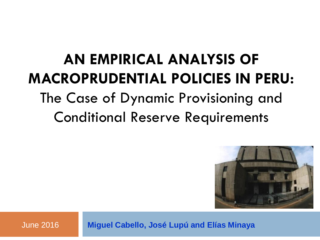# **AN EMPIRICAL ANALYSIS OF MACROPRUDENTIAL POLICIES IN PERU:**

## The Case of Dynamic Provisioning and Conditional Reserve Requirements



June 2016 **Miguel Cabello, José Lupú and Elías Minaya**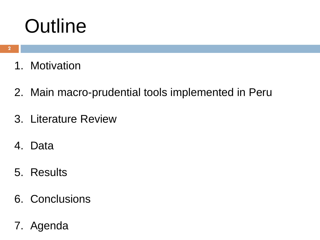# **Outline**

- 1. Motivation
- 2. Main macro-prudential tools implemented in Peru
- 3. Literature Review
- 4. Data
- 5. Results
- 6. Conclusions
- 7. Agenda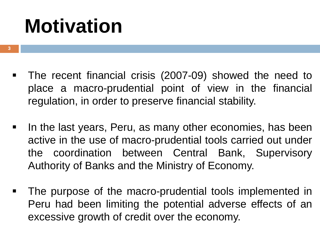# **Motivation**

- **3**
- The recent financial crisis (2007-09) showed the need to place a macro-prudential point of view in the financial regulation, in order to preserve financial stability.
- In the last years, Peru, as many other economies, has been active in the use of macro-prudential tools carried out under the coordination between Central Bank, Supervisory Authority of Banks and the Ministry of Economy.
- The purpose of the macro-prudential tools implemented in Peru had been limiting the potential adverse effects of an excessive growth of credit over the economy.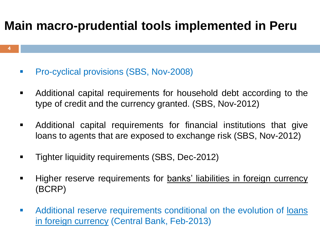### **Main macro-prudential tools implemented in Peru**

**Pro-cyclical provisions (SBS, Nov-2008)** 

**4**

- Additional capital requirements for household debt according to the type of credit and the currency granted. (SBS, Nov-2012)
- Additional capital requirements for financial institutions that give loans to agents that are exposed to exchange risk (SBS, Nov-2012)
- **Tighter liquidity requirements (SBS, Dec-2012)**
- Higher reserve requirements for **banks' liabilities in foreign currency** (BCRP)
- **Additional reserve requirements conditional on the evolution of loans** in foreign currency (Central Bank, Feb-2013)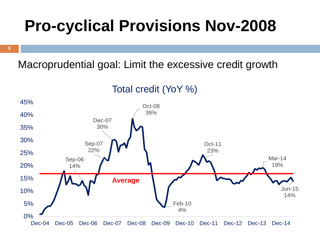# **Pro-cyclical Provisions Nov-2008**

**5**

#### Macroprudential goal: Limit the excessive credit growth



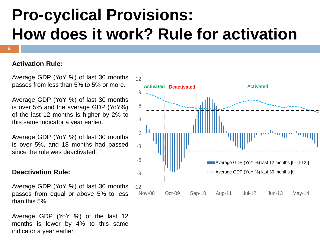# **Pro-cyclical Provisions: How does it work? Rule for activation**

#### **Activation Rule:**

**6**

Average GDP (YoY %) of last 30 months passes from less than 5% to 5% or more.

Average GDP (YoY %) of last 30 months is over 5% and the average GDP (YoY%) of the last 12 months is higher by 2% to this same indicator a year earlier.

Average GDP (YoY %) of last 30 months is over 5%, and 18 months had passed since the rule was deactivated.

#### **Deactivation Rule:**

Average GDP (YoY %) of last 30 months passes from equal or above 5% to less than this 5%.

Average GDP (YoY %) of the last 12 months is lower by 4% to this same indicator a year earlier.

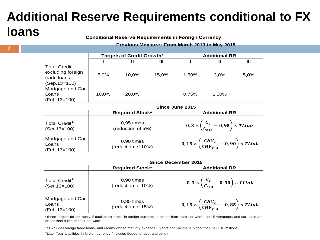#### **Additional Reserve Requirements conditional to FX loans**

**Conditional Reserve Requirements in Foreign Currency**

#### **Previous Measure: From March 2013 to May 2015**

|                                                                           | Targets of Credit Growth* |       |       | <b>Additional RR</b> |       |      |
|---------------------------------------------------------------------------|---------------------------|-------|-------|----------------------|-------|------|
|                                                                           |                           | Ш     | Ш     |                      | Ш     | Ш    |
| <b>Total Credit</b><br>excluding foreign<br>trade loans<br>$(Gep.13=100)$ | 5.0%                      | 10.0% | 15.0% | 1.50%                | 3.0%  | 5,0% |
| Mortgage and Car<br> Loans<br>$(CFeb.13=100)$                             | 10,0%                     | 20.0% |       | 0,75%                | 1.50% |      |

|                                                 | Since June 2015                    |                                                                        |  |
|-------------------------------------------------|------------------------------------|------------------------------------------------------------------------|--|
|                                                 | <b>Required Stock*</b>             | <b>Additional RR</b>                                                   |  |
| Total Credit <sup>1/</sup><br>$ $ (Set. 13=100) | $0,95$ times<br>(reduction of 5%)  | 0, 3 $\times$ $\left(\frac{C_t}{C_{s13}}-0.95\right) \times TLiab$     |  |
| Mortgage and Car<br>Loans<br>$(CFeb.13=100)$    | $0.90$ times<br>(reduction of 10%) | 0, 15 $\times$ $\left(\frac{CHV_t}{CHV_{f13}}-0,90\right)\times TLiab$ |  |

|                                                        | Since December 2015                |                                                                                                         |  |  |
|--------------------------------------------------------|------------------------------------|---------------------------------------------------------------------------------------------------------|--|--|
|                                                        | <b>Required Stock*</b>             | <b>Additional RR</b>                                                                                    |  |  |
| $\vert$ Total Credit <sup>1/</sup><br>$ (Set.13=100) $ | $0,90$ times<br>(reduction of 10%) | $\left(0,3\times\left(\frac{\mathcal{C}_{t}}{\mathcal{C}_{c13}}-0,90\right)\times\mathit{TLiab}\right)$ |  |  |
| Mortgage and Car<br> Loans<br>$(CFeb.13=100)$          | $0,85$ times<br>(reduction of 15%) | 0, 15 $\times$ $\left(\frac{CHV_t}{CHV_{f13}}-0,85\right) \times TLiab$                                 |  |  |

\*These targets do not apply if total credit stock in foreign currency is lesser than bank net worth, and if mortgages and car loans are lesser than a fifth of bank net worth.

1/ Excludes foreign trade loans, and credits whose maturity exceeds 3 years and volume is higher than USD 10 millions.

TLiab: Total Liabilities in foreign currency (includes Deposits, debt and bons).

**7**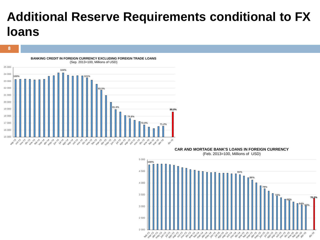### **Additional Reserve Requirements conditional to FX loans**



**8**

**CAR AND MORTAGE BANK'S LOANS IN FOREIGN CURRENCY**

(Feb. 2013=100, Millions of USD)

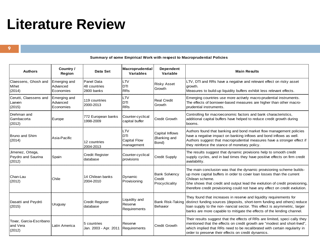## **Literature Review**

**9**

#### **Summary of some Empirical Work with respect to Macroprudential Policies**

| <b>Authors</b>                                   | Country /<br>Region                   | Data Set                                 | Macroprudential<br><b>Variables</b>                            | Dependent<br>Variable                            | <b>Main Results</b>                                                                                                                                                                                                                                                                                                              |
|--------------------------------------------------|---------------------------------------|------------------------------------------|----------------------------------------------------------------|--------------------------------------------------|----------------------------------------------------------------------------------------------------------------------------------------------------------------------------------------------------------------------------------------------------------------------------------------------------------------------------------|
| Claessens, Ghosh and<br>Mihet<br>(2014)          | Emerging and<br>Advanced<br>Economies | Panel Data<br>48 countries<br>2800 banks | <b>LTV</b><br><b>DTI</b><br><b>RRs</b>                         | <b>Risky Asset</b><br>Growth                     | LTV, DTI and RRs have a negative and relevant effect on risky asset<br>arowth.<br>Measures to build-up liquidity buffers exhibit less relevant effects.                                                                                                                                                                          |
| Cerutti, Claessens and<br>Laeven<br>(2015)       | Emerging and<br>Advanced<br>Economies | 119 countries<br>2000-2013               | LTV<br><b>DTI</b><br><b>RRs</b>                                | <b>Real Credit</b><br>Growth                     | Emerging countries use more actively macro-prudential instruments.<br>The effects of borrower-based measures are higher than other macro-<br>prudential instruments.                                                                                                                                                             |
| Drehman and<br>Gambacorta<br>(2012)              | Europe                                | 772 European banks<br>1998-2009          | Counter-cyclical<br>capital buffer                             | <b>Credit Growth</b>                             | Controlling for macroeconomic factors and bank characteristics,<br>additional capital buffers have helped to reduce credit growth during<br>booms.                                                                                                                                                                               |
| <b>Bruno and Shim</b><br>(2014)                  | Asia-Pacific                          | 12 countries<br>2004-2013                | <b>LTV</b><br><b>IDTI</b><br><b>Capital Flow</b><br>management | Capital Inflows<br>(Banking and<br>Bond)         | Authors found that banking and bond market flow management policies<br>have a negative impact on banking inflows and bond inflows as well.<br>Authors suggest that macroprudential measures have a stronger effect if<br>they reinforce the stance of monetary policy.                                                           |
| Jimenez, Ortega,<br>Peydro and Saurina<br>(2012) | Spain                                 | <b>Credit Register</b><br>database       | Counter-cyclical<br>provisions                                 | <b>Credit Supply</b>                             | The results suggest that dynamic provisions help to smooth credit<br>supply cycles, and in bad times they have positive effects on firm credit<br>availability.                                                                                                                                                                  |
| Chan-Lau<br>(2012)                               | Chile                                 | 14 Chilean banks<br>2004-2010            | Dynamic<br>Provisioning                                        | <b>Bank Solvency</b><br>Credit<br>Procyclicality | The main conclusion was that the dynamic provisioning scheme builds-<br>up more capital buffers in order to cover loan losses than the current<br>Chilean scheme.<br>She shows that credit and output lead the evolution of credit provisioning,<br>therefore credit provisioning could not have any effect on credit evolution. |
| Dasatti and Peydró<br>(2015)                     | Uruguay                               | <b>Credit Register</b><br>database       | Liquidity and<br>Reserve<br>Requirements                       | <b>Bank Risk-Taking</b><br>Behavior              | They found that increases in reserve and liquidity requirements for<br>distinct funding sources (deposits, short-term funding and others) reduce<br>loan supply to the non- nancial sector. This effect is asymmetric, larger<br>banks are more capable to mitigate the effects of the lending channel.                          |
| Tovar, Garcia-Escribano<br>and Vera<br>(2012)    | Latin America                         | 15 countries<br>Jan. 2003 - Apr. 2011    | Reserve<br>Requirements                                        | <b>Credit Growth</b>                             | Their results suggest that the effects of RRs are limited, speci cally they<br>mentioned that the effects on credit growth are "modest and short-lived",<br>which implied that RRs need to be recalibrated with certain regularity in<br>order to preserve their effects on credit dynamics.                                     |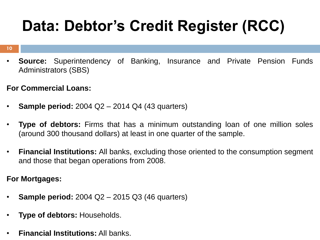# **Data: Debtor's Credit Register (RCC)**

#### **10**

- **Source:** Superintendency of Banking, Insurance and Private Pension Funds Administrators (SBS)
- **For Commercial Loans:**
- **Sample period:** 2004 Q2 2014 Q4 (43 quarters)
- **Type of debtors:** Firms that has a minimum outstanding loan of one million soles (around 300 thousand dollars) at least in one quarter of the sample.
- **Financial Institutions:** All banks, excluding those oriented to the consumption segment and those that began operations from 2008.

**For Mortgages:**

- **Sample period:** 2004 Q2 2015 Q3 (46 quarters)
- **Type of debtors:** Households.
- **Financial Institutions:** All banks.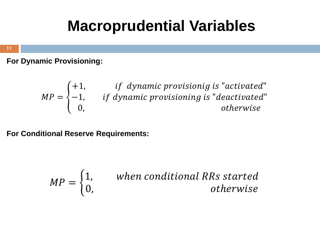## **Macroprudential Variables**

**11**

**For Dynamic Provisioning:**

$$
MP = \begin{cases} +1, & if \; dynamic \; provisionig \; is "activated" \\ -1, & if \; dynamic \; provisioning \; is "deactivated" \\ 0, & otherwise \end{cases}
$$

**For Conditional Reserve Requirements:**

$$
MP = \begin{cases} 1, & \text{when conditional RRs started} \\ 0, & \text{otherwise} \end{cases}
$$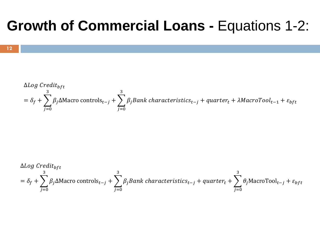### **Growth of Commercial Loans -** Equations 1-2:

$$
ΔLog Creditbf
$$
  
= δ<sub>f</sub> +  $\sum_{j=0}^{3} β_j Δ$ Macro controls<sub>t-j</sub> +  $\sum_{j=0}^{3} β_j Bank characteristics_{t-j}$  + quarter<sub>t</sub> + λMacroTool<sub>t-1</sub> + ε<sub>bf</sub>

$$
ΔLog Creditbf
$$
  
= δ<sub>f</sub> +  $\sum_{j=0}^{3} β_j Δ$ Macro controls<sub>t-j</sub> +  $\sum_{j=0}^{3} β_j Bank characteristics_{t-j}$  + *quarter<sub>t</sub>* +  $\sum_{j=0}^{3} θ_j$ MacroTool<sub>t-j</sub> + ε<sub>bf</sub>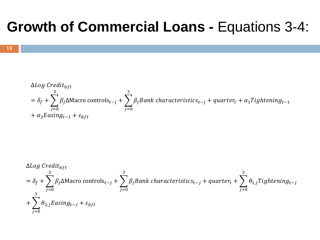## **Growth of Commercial Loans -** Equations 3-4:

$$
\Delta Log\, Credit_{bft}
$$
\n
$$
= \delta_f + \sum_{j=0}^{3} \beta_j \Delta \text{Macro controls}_{t-j} + \sum_{j=0}^{3} \beta_j Bank\, characteristic_{t-j} + quarter_t + \alpha_1 Tighthing_{t-1}
$$
\n
$$
+ \alpha_2 Easing_{t-1} + \varepsilon_{bft}
$$

$$
\Delta Log \, Credit_{bft}
$$
\n
$$
= \delta_f + \sum_{j=0}^{3} \beta_j \Delta \text{Macro controls}_{t-j} + \sum_{j=0}^{3} \beta_j Bank \, characteristic_{t-j} + quarter_t + \sum_{j=0}^{3} \theta_{1,j} Tighthening_{t-j}
$$
\n
$$
+ \sum_{j=0}^{3} \theta_{2,j} Easing_{t-j} + \varepsilon_{bft}
$$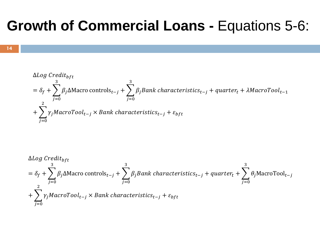### **Growth of Commercial Loans -** Equations 5-6:



$$
\Delta Log \, Credit_{bft}
$$
\n
$$
= \delta_f + \sum_{j=0}^{3} \beta_j \Delta \text{Macro controls}_{t-j} + \sum_{j=0}^{3} \beta_j Bank \, characteristic_{t-j} + quarter_t + \lambda \text{MacroTool}_{t-1}
$$
\n
$$
+ \sum_{j=0}^{2} \gamma_j \text{MacroTool}_{t-j} \times Bank \, characteristic_{t-j} + \varepsilon_{bft}
$$

$$
\Delta Log\ Credit_{bft}
$$
\n
$$
= \delta_f + \sum_{j=0}^{3} \beta_j \Delta \text{Macro controls}_{t-j} + \sum_{j=0}^{3} \beta_j Bank\ characteristics_{t-j} + quarter_t + \sum_{j=0}^{3} \theta_j \text{MacroTool}_{t-j}
$$
\n
$$
+ \sum_{j=0}^{2} \gamma_j \text{MacroTool}_{t-j} \times Bank\ characteristics_{t-j} + \epsilon_{bft}
$$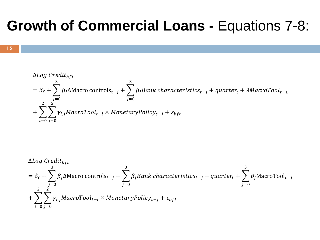### **Growth of Commercial Loans -** Equations 7-8:



$$
\Delta Log\ Credit_{bft}
$$
\n
$$
= \delta_f + \sum_{j=0}^{3} \beta_j \Delta \text{Macro controls}_{t-j} + \sum_{j=0}^{3} \beta_j Bank\ characteristics_{t-j} + quarter_t + \lambda \text{MacroTool}_{t-1}
$$
\n
$$
+ \sum_{i=0}^{2} \sum_{j=0}^{2} \gamma_{i,j} \text{MacroTool}_{t-i} \times \text{MonetaryPolicy}_{t-j} + \varepsilon_{bft}
$$

$$
\Delta Log \, Credit_{bft}
$$
\n
$$
= \delta_f + \sum_{j=0}^{3} \beta_j \Delta \text{Macro controls}_{t-j} + \sum_{j=0}^{3} \beta_j Bank \, characteristic_{t-j} + quarter_t + \sum_{j=0}^{3} \theta_j \text{MacroTool}_{t-j}
$$
\n
$$
+ \sum_{i=0}^{2} \sum_{j=0}^{2} \gamma_{i,j} MacroTool_{t-i} \times \text{MonetaryPolicy}_{t-j} + \varepsilon_{bft}
$$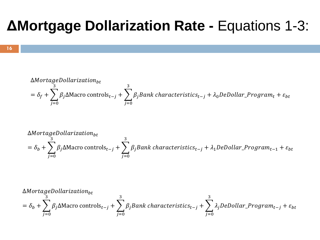### **ΔMortgage Dollarization Rate -** Equations 1-3:

$$
\Delta MortageDollarization_{bt}
$$
  
=  $\delta_f + \sum_{j=0}^{3} \beta_j \Delta \text{Macro controls}_{t-j} + \sum_{j=0}^{3} \beta_j Bank characteristics_{t-j} + \lambda_0 DeDollar\_Program_t + \varepsilon_{bt}$ 

$$
\Delta MortageDollarization_{bt}
$$
  
=  $\delta_b + \sum_{j=0}^{3} \beta_j \Delta \text{Macro controls}_{t-j} + \sum_{j=0}^{3} \beta_j Bank characteristics_{t-j} + \lambda_1 DeDollar\_Program_{t-1} + \varepsilon_{bt}$ 

$$
\Delta MortageDollarization_{bt}
$$
  
=  $\delta_b + \sum_{j=0}^{3} \beta_j \Delta \text{Macro controls}_{t-j} + \sum_{j=0}^{3} \beta_j Bank characteristics_{t-j} + \sum_{j=0}^{3} \lambda_j DeDollar\_Program_{t-j} + \varepsilon_{bt}$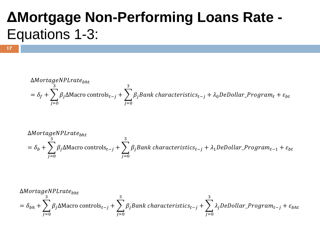## **ΔMortgage Non-Performing Loans Rate -** Equations 1-3:

**17**

$$
\Delta Mortage NPLrate_{bht}
$$
\n
$$
= \delta_f + \sum_{j=0}^{3} \beta_j \Delta \text{Macro controls}_{t-j} + \sum_{j=0}^{3} \beta_j Bank characteristics_{t-j} + \lambda_0 DeDollar\_Program_t + \varepsilon_{bt}
$$

$$
\Delta Mortage NPLrate_{bht}
$$
\n
$$
= \delta_b + \sum_{j=0}^{3} \beta_j \Delta \text{Macro controls}_{t-j} + \sum_{j=0}^{3} \beta_j Bank characteristics_{t-j} + \lambda_1 DeDollar\_Program_{t-1} + \varepsilon_{bt}
$$

$$
\Delta Mortage NPLrate_{bht}
$$
\n
$$
= \delta_{bh} + \sum_{j=0}^{3} \beta_j \Delta \text{Macro controls}_{t-j} + \sum_{j=0}^{3} \beta_j Bank characteristics_{t-j} + \sum_{j=0}^{3} \lambda_j DeDollar\_Program_{t-j} + \varepsilon_{bht}
$$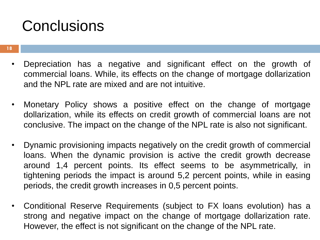## **Conclusions**

- Depreciation has a negative and significant effect on the growth of commercial loans. While, its effects on the change of mortgage dollarization and the NPL rate are mixed and are not intuitive.
- Monetary Policy shows a positive effect on the change of mortgage dollarization, while its effects on credit growth of commercial loans are not conclusive. The impact on the change of the NPL rate is also not significant.
- Dynamic provisioning impacts negatively on the credit growth of commercial loans. When the dynamic provision is active the credit growth decrease around 1,4 percent points. Its effect seems to be asymmetrically, in tightening periods the impact is around 5,2 percent points, while in easing periods, the credit growth increases in 0,5 percent points.
- Conditional Reserve Requirements (subject to FX loans evolution) has a strong and negative impact on the change of mortgage dollarization rate. However, the effect is not significant on the change of the NPL rate.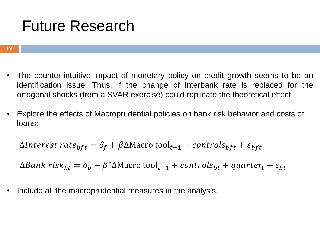## Future Research

- The counter-intuitive impact of monetary policy on credit growth seems to be an identification issue. Thus, if the change of interbank rate is replaced for the ortogonal shocks (from a SVAR exercise) could replicate the theoretical effect.
- Explore the effects of Macroprudential policies on bank risk behavior and costs of loans:

 $\Delta$ Interest rate<sub>bft</sub> =  $\delta_f + \beta \Delta$ Macro tool<sub>t-1</sub> + controls<sub>bft</sub> + ε<sub>bft</sub>

 $\Delta Bank \; risk_{bt} = \delta_b + \beta^* \Delta \text{Maccro}\; \text{tool}_{t-1} + controls_{bt} + quarter_t + \varepsilon_{bt}$ 

Include all the macroprudential measures in the analysis.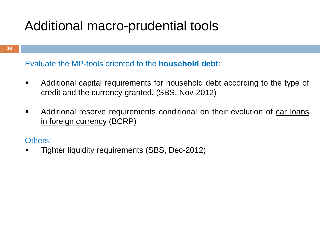### Additional macro-prudential tools

Evaluate the MP-tools oriented to the **household debt**:

- Additional capital requirements for household debt according to the type of credit and the currency granted. (SBS, Nov-2012)
- Additional reserve requirements conditional on their evolution of car loans in foreign currency (BCRP)

#### Others:

Tighter liquidity requirements (SBS, Dec-2012)